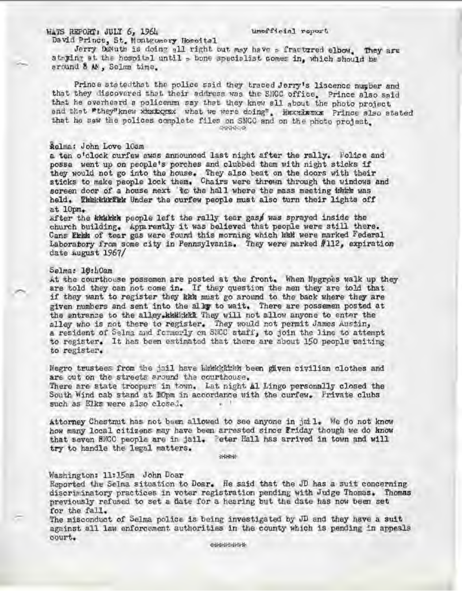### WATS REPORT: JULY 6, 1964 - unefficial report

David Prince, St. Montgomery Hosoital

Jerry DaMuth is doing gll right but may have a fractured elbow. They are staging at the hospital until , bone specialist comes in, which should be around **8 AM,** Selma time ,

Prince statedthat the police said they traced Jerry's liscence number and that they discovered that their address was the SNOC office. Prince also said that he overheard a policeman say that they knew all about the photo project and that Pthey knew xhateges: what we were doing", increases Prince also stated Prince statedthat the police said they traced Jerry's liscence mumpler and<br>that they discovered that their address was the SNOC office. Prince also said<br>that he overheard a policemen say that they knew all about the photo that he saw the polices complete files on SNCC and on the photo project.

### ilelrna: John Love 10am

a ten o'clock curfew awas announced last night after the rally. Police and posse went up on people's porches and clubbed them with night sticks if they would not go into the house. They also beat on the doors with their sticks to make people lock them. Chairs were threwn through the windows and screen door of a house next 'to the hall where the mass meeting imbis was held. The turn the funder the curfew people must also turn their lights off at 10pm.

After the kkkkkk people left the rally tear gas*i* was sprayed inside the church building. Apparently it was believed that people were still there. Cans **Ekki of tear gas were found this morning which had were marked Federal** Laboratory from some city in Pennsylvania. They were marked #112, expiration date August 1967/

#### $Selmas$   $10:10$ am

*r* 

At the courthouse possemen are posted at the front. When Negroes walk up they are told they can not come in. If they question the men they are told that if they want to register they kkk must go around to the back where they are given numbers and sent into the alloy to wait. There are possemen posted at the entrance to the alley.kkklikklike They will not allow anyone to enter the alley who is not there to register. They would not permit James Austin, a resident of Selma and formerly on SNCC staff, to join the line to attempt to register. It has been estimated that there are about 150 people paiting to register.

Negro trustees from the jail have Wakkkitish been given civilian clothes and are out on the streets around the courthouse.

There are state troopers in town. Lat night al Lingo personally closed the South Wind cab stand at flOpm in accordance with the curfew. Frivate clubs such as Elks were also closed,

Attorney Chestnut has not been allowed to see anyone in jail, We do not know how many local citizens may have been arrested since Friday though we do know that seven SNCC people are in jail. Peter Hall has arrived in town and will try to handle the legal matters.

计结构

#### Washington: 11:15am John Doar

Reported the Selma situation to Doar. He said that the JD has a suit concerning discriminatory practices in voter registration pending with Judge Thomas. Thomas previously refused to set a date for a hearing but the date has now been set for the fall.<br>The misconduct of Selma police is being investigated by JD and they have a suit

against all law enforcement authorities in the county which is pending in appeals court.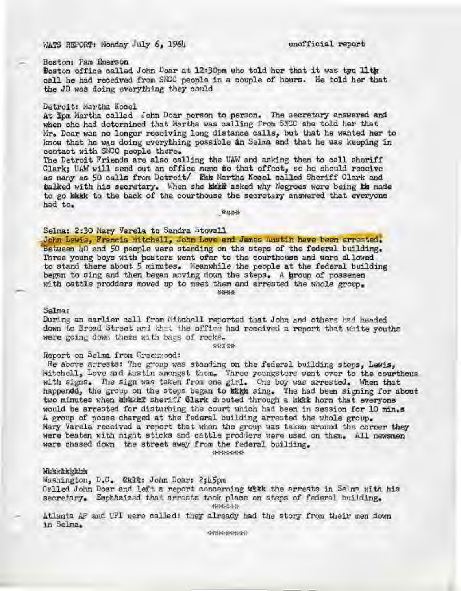#### WATS REPORT: Monday July 6, 1964 unofficial report

Boston: Pam Emerson

Boston office called John Doar at 12:30pm who told her that it was tye 11 call he had received from SNCC people in a couple of hours. He told her that the JD was doing everything they could

#### Detroit: Martha Kocel

At Inm Martha called John Doar person to person. The secretary answered and when she had determined that Martha was calling from SNCC she told her that Mr. Doar was no longer receiving long distance calls, but that he wanted her to know that he was doing everything possible **an** Selma and that he was keeping in contact with SNCC people there.

The Detroit Friends are also calling the UAW and asking them to call sheriff Clark; UAW will send out an office memo so that effect, so he should receive as many as 50 calls from Detroit/ **Ekk Martha Kooel called Sheriff Clark and** talked with his secretary. When she kkitt asked why Negroes were being kk made to go kkkk to the back of the courthouse the secretary answered that everyone had to.

营业业务

#### Selma: 2:30 Mary Varela to Sandra Stovall.

John Lewis, Francis Mitchell, John Love and James Austin have been arrested. <br>Between 40 and 50 people were standing on the steps of the federal building. Three young boys with bosters went ofer to the courthouse and were allowed to stand there about 5 minutes. Weanwhile the people at the federal building began to sing and then began moving down the steps. A group of possemen with cattle prodders moved up to meet them and arrested the whole group. ~HHI-

### Selma:

During an earlier call from Mitchell reported that John and others had headed down to Broad Street and that the office had received a report that white youths were going down there with bags of rocks.

**{BHh'Ht** 

#### Report on Selma from Greenwood:

Re above arrests: The group was standing on the federal building steps, Lewis, Mitchell, Love and Austin amongst them. Three youngsters went over to the courthous with signs. The sign was taken from one girl. One boy was arrested. When that happened, the group on the steps began to kikk sing. The had been signing for about two minutes when abakkef sheriff Glark shouted through a lakkk horn that everyone would be arrested for disturbing the court which had been in session for 10 min.s A group of posse charged at the federal building arrested the whole group. Mary Varela received a report that when the group was taken around the corner they were beaten with night sticks and cattle prodders were used on them. All newsmen were chased down the street away from the federal building.

~J~~~

#### l&&ld:k~

Washington, D.C. *Rkll:* John Doar: 2;45pm Called John Doar and left a report concerning with the arrests in Selma with his secretary. Emphasized that arrests took place on steps of federal building. 4806651-22

Atlanta AP and UPI were called: they already had the story from their men down in Selma.

18800-0000000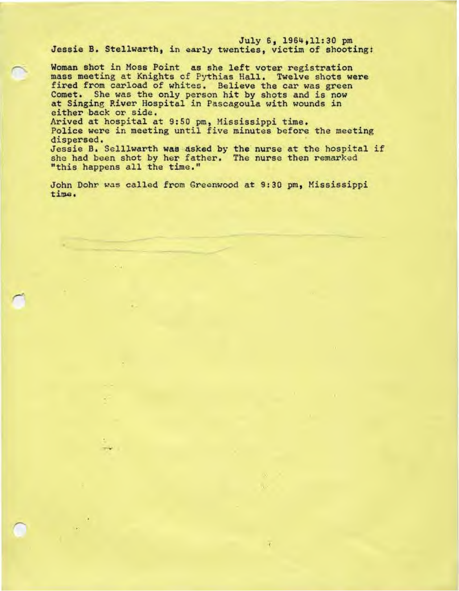# July 6, 1964, 11:30 pm<br>Jessie B. Stellwarth, in early twenties, victim of shooting:

Woman shot in Moss Point as she left voter registration mass meeting at Knights of Pythias Hall. Twelve shots were fired from carload of whites. Believe the car was green Comet, She was the only person hit by shots and is now at Singing River Hospital in Pascagoula with wounds in either back or side.<br>Arived at hospital at 9:50 pm, Mississippi time.<br>Police were in meeting until five minutes before the meeting

dispersed.<br>Jessie B. Selllwarth was asked by the nurse at the hospital if she had been shot by her father. The nurse then remarked "this happens all the time,"

John Dohr was called from Greenwood at 9:30 pm, Mississippi time.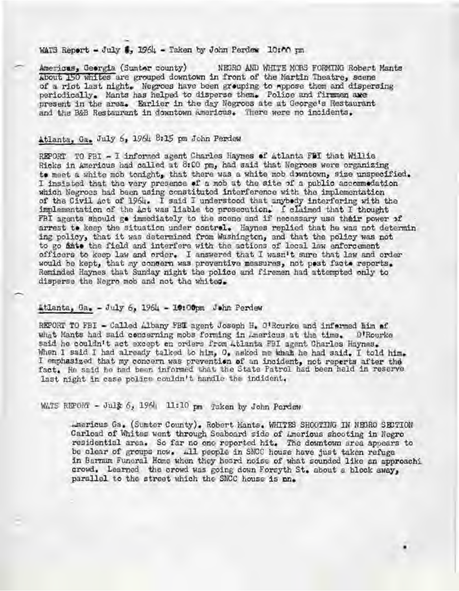### WATS Report - July 1. 1964 - Taken by John Perdex 10:00 rm

Americas, Georgia (Sunter county) NEGRO AND WHITE MOBS FORMING Robert Mants About 150 whites are grouped downtown in front of the Martin Theatre. scene of a riot last night. Negroes have been grouping to mppose them and dispersing periodically. Mants has helped to disperse them. Police and firmmen are present in the area. Earlier in the day Negroes ate at George's Restaurant and the B&B Restaurant in downtown Americus. There were no incidents.

## Atlanta, Ga. July 6, 1964 8:15 pm John Perdew

REPORT TO FBI - I informed agent Charles Haynes of Atlanta FBI that Willie Ricks in Americus had called at 8:00 pm, had said that Negroes were organizing to meet a white mob tonight, that there was a white mob downtown, size unspecified. I insisted that the very presence of a mob at the site of a public accommodation which Negroes had been using constituted interference with the implementation of the Civil Act of 1964. I said I understood that anybedy interfering with the implementation of the Act was liable to prosecution. I claimed that I thought FBI agents should go immediately to the scene and if necessary use their power of arrest to keep the situation under control. Haynes replied that he was not determin ing policy, that it was determined from Washington, and that the policy was not to go finte the field and interfere with the actions of local law enforcement officers to keep law and order. I answered that I wasn't sure that law and order would be kept, that my consern was preventive measures, not post facto reports. Reminded Haynes that Sunday night the police and firemen had attempted only to disperse the Negro mob and not the whites.

### Atlanta, Ga. - July 6, 1964 - 10:00pm John Perdew

REPORT TO FBI - Called Albany FBI agent Joseph H. O'Rourke and informed him of what Mants had said concerning mobs forming in Americus at the time. O'Rourke said he couldn't act except on orders from Atlanta FBI agent Charles Haynes. When I said I had already talked to him, O. asked me whan he had said. I told him. I emphasized that my concern was prevention of an incident, not reperts after the fact. He said he had been informed that the State Patrol had been held in reserve last night in case police couldn't handle the indident.

WATS REPORT - Julk 6, 1964 11:10 pm Taken by John Perdew

.mericus Ga. (Sumter County). Robert Mants. WHITES SHOOTING IN NEGRO SECTION Carload of Whites went through Seaboard side of Americus shooting in Negro residential area. So far no one reported hit. The downtown area appears to be clear of groups now. All people in SNCC house have just taken refuge in Barnum Funeral Home when they heard noise of what sounded like an approachi crowd. Learned the crowd was going down Forsyth St. about a block away, parallel to the street which the SNCC house is nn.

٠